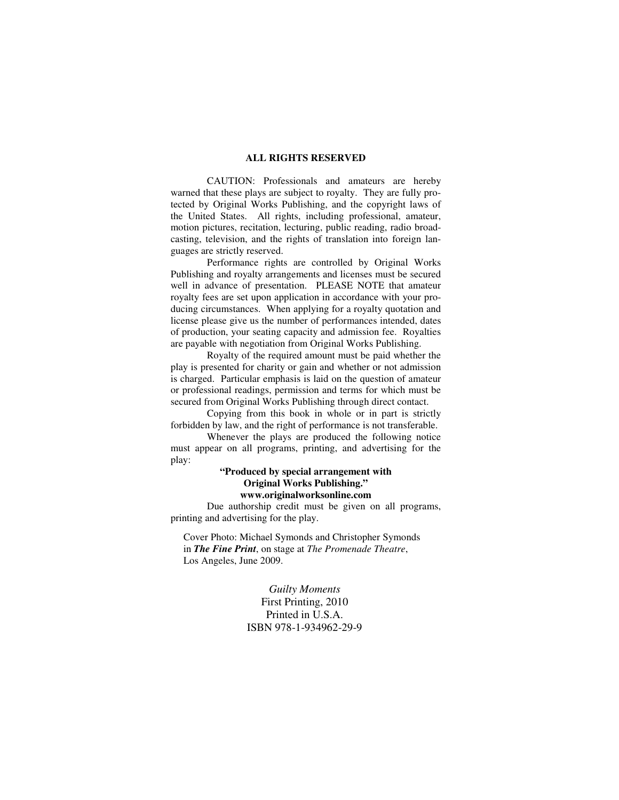#### **ALL RIGHTS RESERVED**

 CAUTION: Professionals and amateurs are hereby warned that these plays are subject to royalty. They are fully protected by Original Works Publishing, and the copyright laws of the United States. All rights, including professional, amateur, motion pictures, recitation, lecturing, public reading, radio broadcasting, television, and the rights of translation into foreign languages are strictly reserved.

 Performance rights are controlled by Original Works Publishing and royalty arrangements and licenses must be secured well in advance of presentation. PLEASE NOTE that amateur royalty fees are set upon application in accordance with your producing circumstances. When applying for a royalty quotation and license please give us the number of performances intended, dates of production, your seating capacity and admission fee. Royalties are payable with negotiation from Original Works Publishing.

 Royalty of the required amount must be paid whether the play is presented for charity or gain and whether or not admission is charged. Particular emphasis is laid on the question of amateur or professional readings, permission and terms for which must be secured from Original Works Publishing through direct contact.

 Copying from this book in whole or in part is strictly forbidden by law, and the right of performance is not transferable.

 Whenever the plays are produced the following notice must appear on all programs, printing, and advertising for the play:

#### **"Produced by special arrangement with Original Works Publishing." www.originalworksonline.com**

 Due authorship credit must be given on all programs, printing and advertising for the play.

Cover Photo: Michael Symonds and Christopher Symonds in *The Fine Print*, on stage at *The Promenade Theatre*, Los Angeles, June 2009.

> *Guilty Moments*  First Printing, 2010 Printed in U.S.A. ISBN 978-1-934962-29-9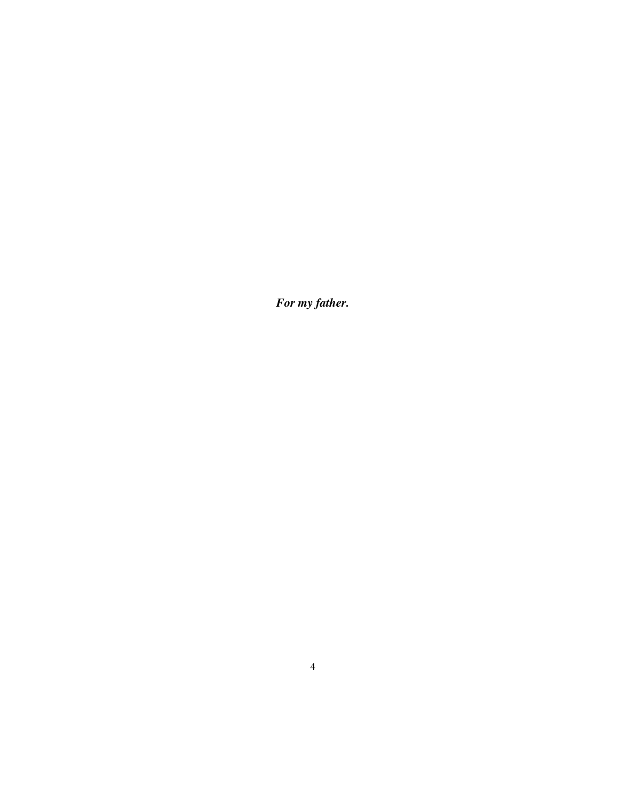*For my father.*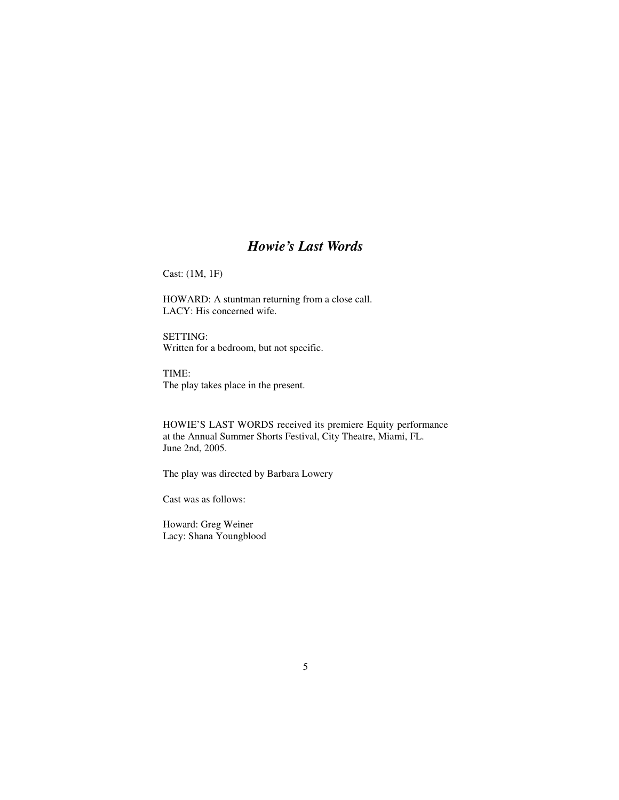## *Howie's Last Words*

Cast: (1M, 1F)

HOWARD: A stuntman returning from a close call. LACY: His concerned wife.

SETTING: Written for a bedroom, but not specific.

TIME: The play takes place in the present.

HOWIE'S LAST WORDS received its premiere Equity performance at the Annual Summer Shorts Festival, City Theatre, Miami, FL. June 2nd, 2005.

The play was directed by Barbara Lowery

Cast was as follows:

Howard: Greg Weiner Lacy: Shana Youngblood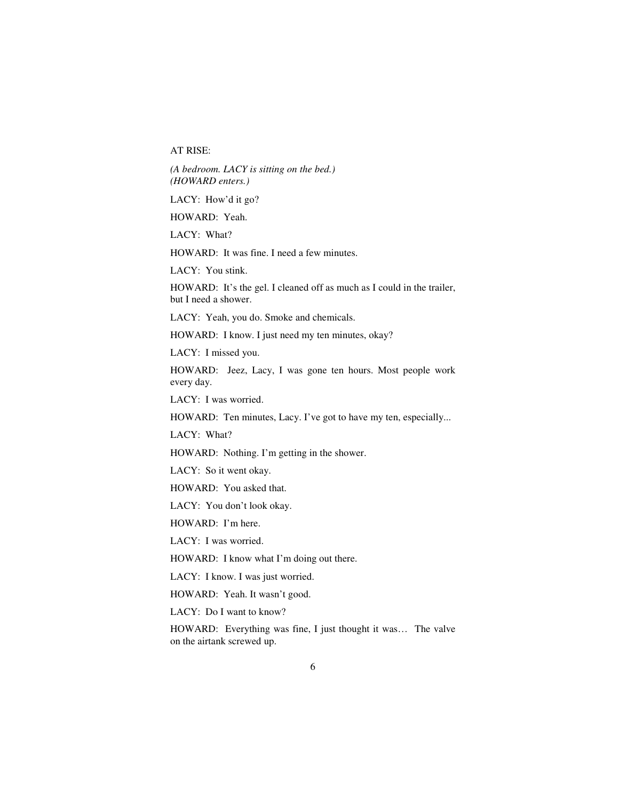AT RISE:

*(A bedroom. LACY is sitting on the bed.) (HOWARD enters.)* 

LACY: How'd it go?

HOWARD: Yeah.

LACY: What?

HOWARD: It was fine. I need a few minutes.

LACY: You stink.

HOWARD: It's the gel. I cleaned off as much as I could in the trailer, but I need a shower.

LACY: Yeah, you do. Smoke and chemicals.

HOWARD: I know. I just need my ten minutes, okay?

LACY: I missed you.

HOWARD: Jeez, Lacy, I was gone ten hours. Most people work every day.

LACY: I was worried.

HOWARD: Ten minutes, Lacy. I've got to have my ten, especially...

LACY: What?

HOWARD: Nothing. I'm getting in the shower.

LACY: So it went okay.

HOWARD: You asked that.

LACY: You don't look okay.

HOWARD: I'm here.

LACY: I was worried.

HOWARD: I know what I'm doing out there.

LACY: I know. I was just worried.

HOWARD: Yeah. It wasn't good.

LACY: Do I want to know?

HOWARD: Everything was fine, I just thought it was… The valve on the airtank screwed up.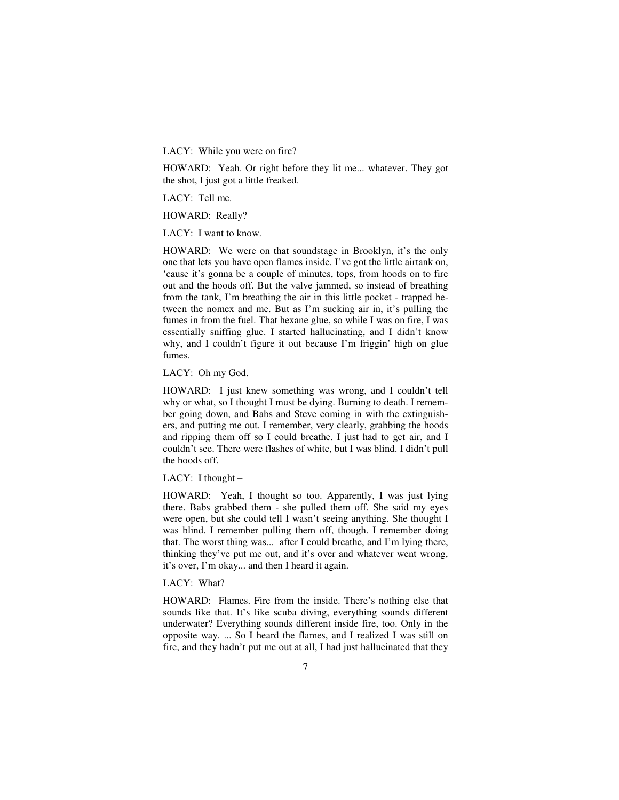LACY: While you were on fire?

HOWARD: Yeah. Or right before they lit me... whatever. They got the shot, I just got a little freaked.

LACY: Tell me.

HOWARD: Really?

LACY: I want to know.

HOWARD: We were on that soundstage in Brooklyn, it's the only one that lets you have open flames inside. I've got the little airtank on, 'cause it's gonna be a couple of minutes, tops, from hoods on to fire out and the hoods off. But the valve jammed, so instead of breathing from the tank, I'm breathing the air in this little pocket - trapped between the nomex and me. But as I'm sucking air in, it's pulling the fumes in from the fuel. That hexane glue, so while I was on fire, I was essentially sniffing glue. I started hallucinating, and I didn't know why, and I couldn't figure it out because I'm friggin' high on glue fumes.

LACY: Oh my God.

HOWARD: I just knew something was wrong, and I couldn't tell why or what, so I thought I must be dying. Burning to death. I remember going down, and Babs and Steve coming in with the extinguishers, and putting me out. I remember, very clearly, grabbing the hoods and ripping them off so I could breathe. I just had to get air, and I couldn't see. There were flashes of white, but I was blind. I didn't pull the hoods off.

LACY: I thought –

HOWARD: Yeah, I thought so too. Apparently, I was just lying there. Babs grabbed them - she pulled them off. She said my eyes were open, but she could tell I wasn't seeing anything. She thought I was blind. I remember pulling them off, though. I remember doing that. The worst thing was... after I could breathe, and I'm lying there, thinking they've put me out, and it's over and whatever went wrong, it's over, I'm okay... and then I heard it again.

LACY: What?

HOWARD: Flames. Fire from the inside. There's nothing else that sounds like that. It's like scuba diving, everything sounds different underwater? Everything sounds different inside fire, too. Only in the opposite way. ... So I heard the flames, and I realized I was still on fire, and they hadn't put me out at all, I had just hallucinated that they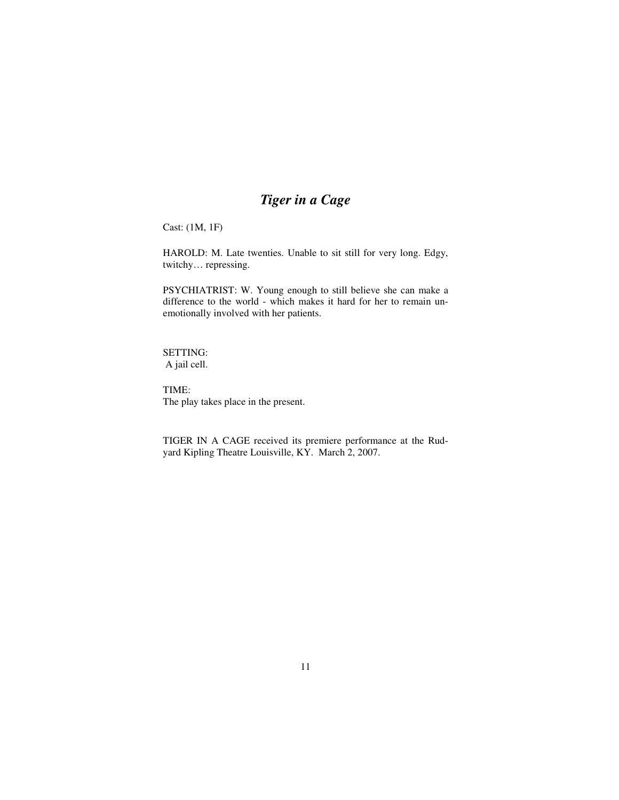# *Tiger in a Cage*

Cast: (1M, 1F)

HAROLD: M. Late twenties. Unable to sit still for very long. Edgy, twitchy… repressing.

PSYCHIATRIST: W. Young enough to still believe she can make a difference to the world - which makes it hard for her to remain unemotionally involved with her patients.

SETTING: A jail cell.

TIME: The play takes place in the present.

TIGER IN A CAGE received its premiere performance at the Rudyard Kipling Theatre Louisville, KY. March 2, 2007.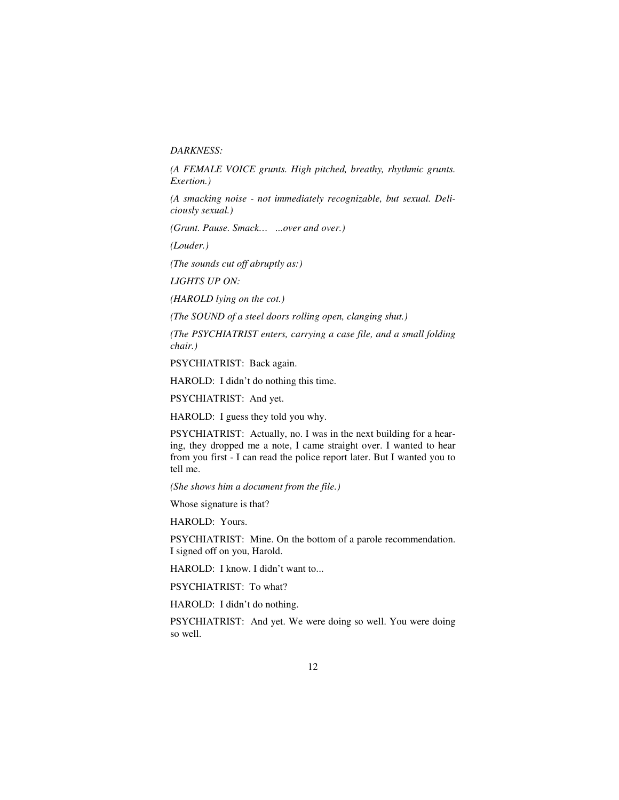#### *DARKNESS:*

*(A FEMALE VOICE grunts. High pitched, breathy, rhythmic grunts. Exertion.)* 

*(A smacking noise - not immediately recognizable, but sexual. Deliciously sexual.)* 

*(Grunt. Pause. Smack… ...over and over.)* 

*(Louder.)* 

*(The sounds cut off abruptly as:)* 

*LIGHTS UP ON:* 

*(HAROLD lying on the cot.)* 

*(The SOUND of a steel doors rolling open, clanging shut.)* 

*(The PSYCHIATRIST enters, carrying a case file, and a small folding chair.)* 

PSYCHIATRIST: Back again.

HAROLD: I didn't do nothing this time.

PSYCHIATRIST: And yet.

HAROLD: I guess they told you why.

PSYCHIATRIST: Actually, no. I was in the next building for a hearing, they dropped me a note, I came straight over. I wanted to hear from you first - I can read the police report later. But I wanted you to tell me.

*(She shows him a document from the file.)* 

Whose signature is that?

HAROLD: Yours.

PSYCHIATRIST: Mine. On the bottom of a parole recommendation. I signed off on you, Harold.

HAROLD: I know. I didn't want to...

PSYCHIATRIST: To what?

HAROLD: I didn't do nothing.

PSYCHIATRIST: And yet. We were doing so well. You were doing so well.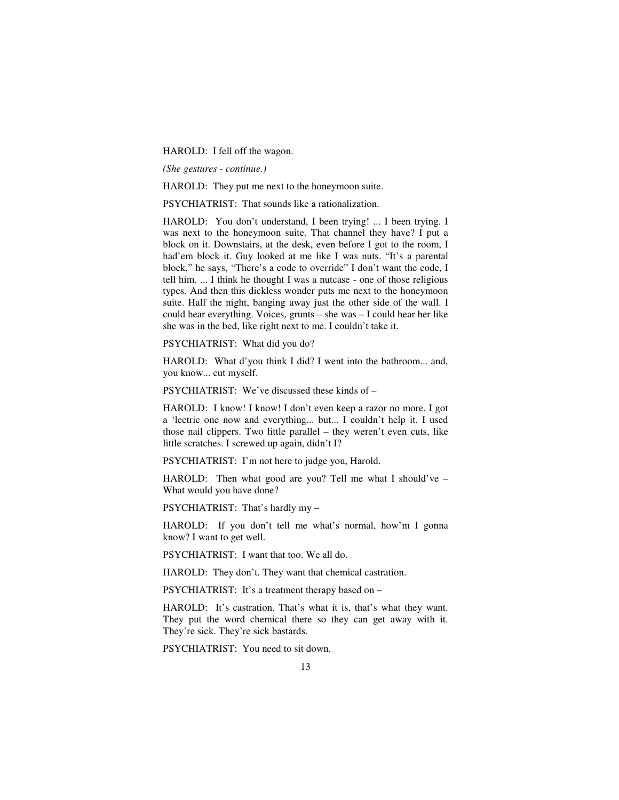HAROLD: I fell off the wagon.

*(She gestures - continue.)* 

HAROLD: They put me next to the honeymoon suite.

PSYCHIATRIST: That sounds like a rationalization.

HAROLD: You don't understand, I been trying! ... I been trying. I was next to the honeymoon suite. That channel they have? I put a block on it. Downstairs, at the desk, even before I got to the room, I had'em block it. Guy looked at me like I was nuts. "It's a parental block," he says, "There's a code to override" I don't want the code, I tell him. ... I think he thought I was a nutcase - one of those religious types. And then this dickless wonder puts me next to the honeymoon suite. Half the night, banging away just the other side of the wall. I could hear everything. Voices, grunts – she was – I could hear her like she was in the bed, like right next to me. I couldn't take it.

PSYCHIATRIST: What did you do?

HAROLD: What d'you think I did? I went into the bathroom... and, you know... cut myself.

PSYCHIATRIST: We've discussed these kinds of –

HAROLD: I know! I know! I don't even keep a razor no more, I got a 'lectric one now and everything... but... I couldn't help it. I used those nail clippers. Two little parallel – they weren't even cuts, like little scratches. I screwed up again, didn't I?

PSYCHIATRIST: I'm not here to judge you, Harold.

HAROLD: Then what good are you? Tell me what I should've – What would you have done?

PSYCHIATRIST: That's hardly my –

HAROLD: If you don't tell me what's normal, how'm I gonna know? I want to get well.

PSYCHIATRIST: I want that too. We all do.

HAROLD: They don't. They want that chemical castration.

PSYCHIATRIST: It's a treatment therapy based on –

HAROLD: It's castration. That's what it is, that's what they want. They put the word chemical there so they can get away with it. They're sick. They're sick bastards.

PSYCHIATRIST: You need to sit down.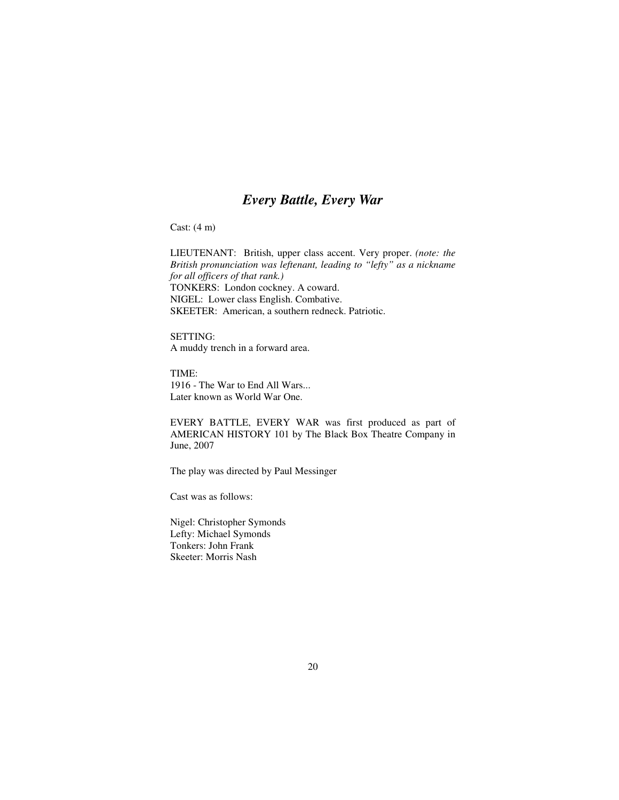### *Every Battle, Every War*

Cast: (4 m)

LIEUTENANT: British, upper class accent. Very proper. *(note: the British pronunciation was leftenant, leading to "lefty" as a nickname for all officers of that rank.)*  TONKERS: London cockney. A coward. NIGEL: Lower class English. Combative. SKEETER: American, a southern redneck. Patriotic.

SETTING: A muddy trench in a forward area.

TIME: 1916 - The War to End All Wars... Later known as World War One.

EVERY BATTLE, EVERY WAR was first produced as part of AMERICAN HISTORY 101 by The Black Box Theatre Company in June, 2007

The play was directed by Paul Messinger

Cast was as follows:

Nigel: Christopher Symonds Lefty: Michael Symonds Tonkers: John Frank Skeeter: Morris Nash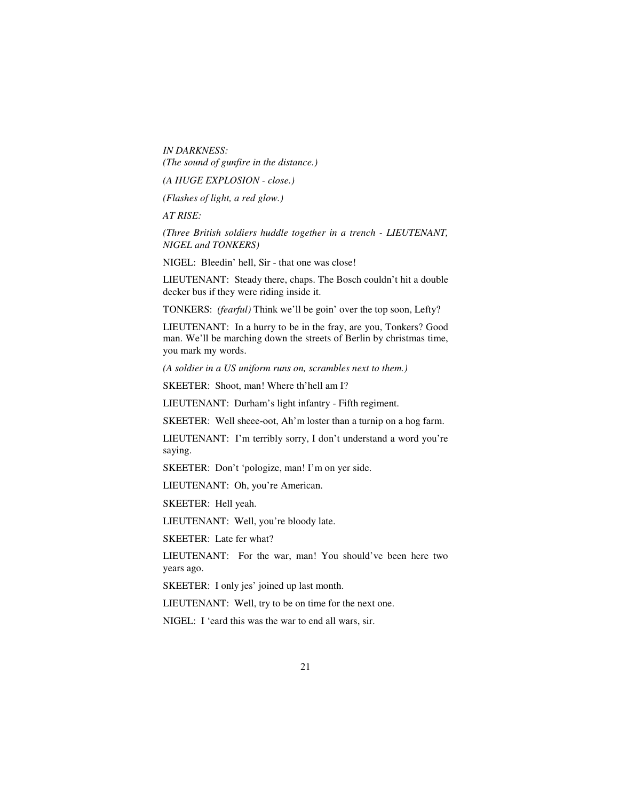*IN DARKNESS: (The sound of gunfire in the distance.)* 

*(A HUGE EXPLOSION - close.)* 

*(Flashes of light, a red glow.)* 

*AT RISE:* 

*(Three British soldiers huddle together in a trench - LIEUTENANT, NIGEL and TONKERS)* 

NIGEL: Bleedin' hell, Sir - that one was close!

LIEUTENANT: Steady there, chaps. The Bosch couldn't hit a double decker bus if they were riding inside it.

TONKERS: *(fearful)* Think we'll be goin' over the top soon, Lefty?

LIEUTENANT: In a hurry to be in the fray, are you, Tonkers? Good man. We'll be marching down the streets of Berlin by christmas time, you mark my words.

*(A soldier in a US uniform runs on, scrambles next to them.)* 

SKEETER: Shoot, man! Where th'hell am I?

LIEUTENANT: Durham's light infantry - Fifth regiment.

SKEETER: Well sheee-oot, Ah'm loster than a turnip on a hog farm.

LIEUTENANT: I'm terribly sorry, I don't understand a word you're saying.

SKEETER: Don't 'pologize, man! I'm on yer side.

LIEUTENANT: Oh, you're American.

SKEETER: Hell yeah.

LIEUTENANT: Well, you're bloody late.

SKEETER: Late fer what?

LIEUTENANT: For the war, man! You should've been here two years ago.

SKEETER: I only jes' joined up last month.

LIEUTENANT: Well, try to be on time for the next one.

NIGEL: I 'eard this was the war to end all wars, sir.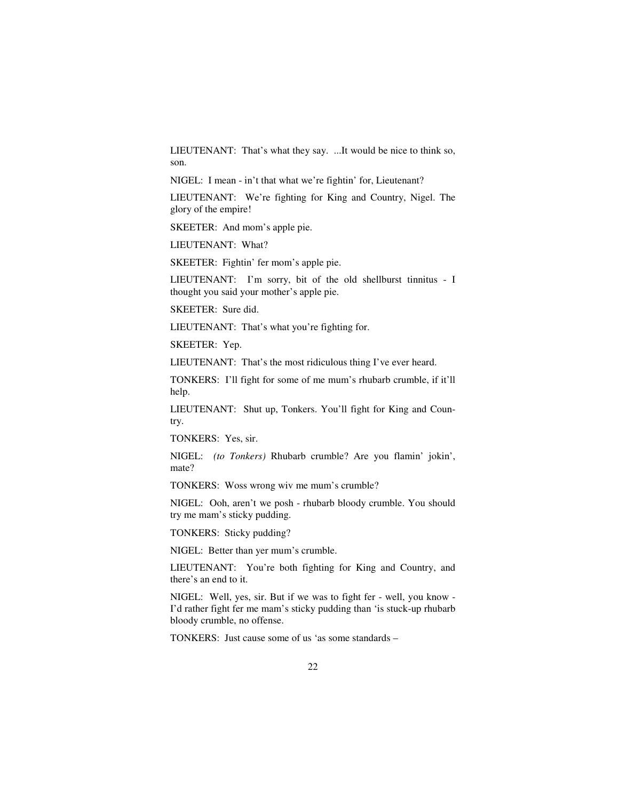LIEUTENANT: That's what they say. ...It would be nice to think so, son.

NIGEL: I mean - in't that what we're fightin' for, Lieutenant?

LIEUTENANT: We're fighting for King and Country, Nigel. The glory of the empire!

SKEETER: And mom's apple pie.

LIEUTENANT: What?

SKEETER: Fightin' fer mom's apple pie.

LIEUTENANT: I'm sorry, bit of the old shellburst tinnitus - I thought you said your mother's apple pie.

SKEETER: Sure did.

LIEUTENANT: That's what you're fighting for.

SKEETER: Yep.

LIEUTENANT: That's the most ridiculous thing I've ever heard.

TONKERS: I'll fight for some of me mum's rhubarb crumble, if it'll help.

LIEUTENANT: Shut up, Tonkers. You'll fight for King and Country.

TONKERS: Yes, sir.

NIGEL: *(to Tonkers)* Rhubarb crumble? Are you flamin' jokin', mate?

TONKERS: Woss wrong wiv me mum's crumble?

NIGEL: Ooh, aren't we posh - rhubarb bloody crumble. You should try me mam's sticky pudding.

TONKERS: Sticky pudding?

NIGEL: Better than yer mum's crumble.

LIEUTENANT: You're both fighting for King and Country, and there's an end to it.

NIGEL: Well, yes, sir. But if we was to fight fer - well, you know - I'd rather fight fer me mam's sticky pudding than 'is stuck-up rhubarb bloody crumble, no offense.

TONKERS: Just cause some of us 'as some standards –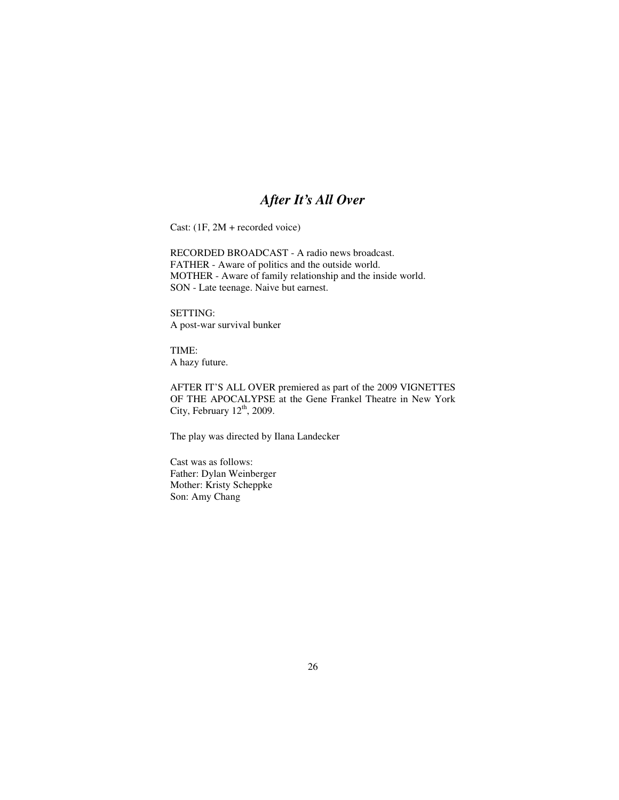### *After It's All Over*

Cast: (1F, 2M + recorded voice)

RECORDED BROADCAST - A radio news broadcast. FATHER - Aware of politics and the outside world. MOTHER - Aware of family relationship and the inside world. SON - Late teenage. Naive but earnest.

SETTING: A post-war survival bunker

TIME: A hazy future.

AFTER IT'S ALL OVER premiered as part of the 2009 VIGNETTES OF THE APOCALYPSE at the Gene Frankel Theatre in New York City, February  $12^{th}$ , 2009.

The play was directed by Ilana Landecker

Cast was as follows: Father: Dylan Weinberger Mother: Kristy Scheppke Son: Amy Chang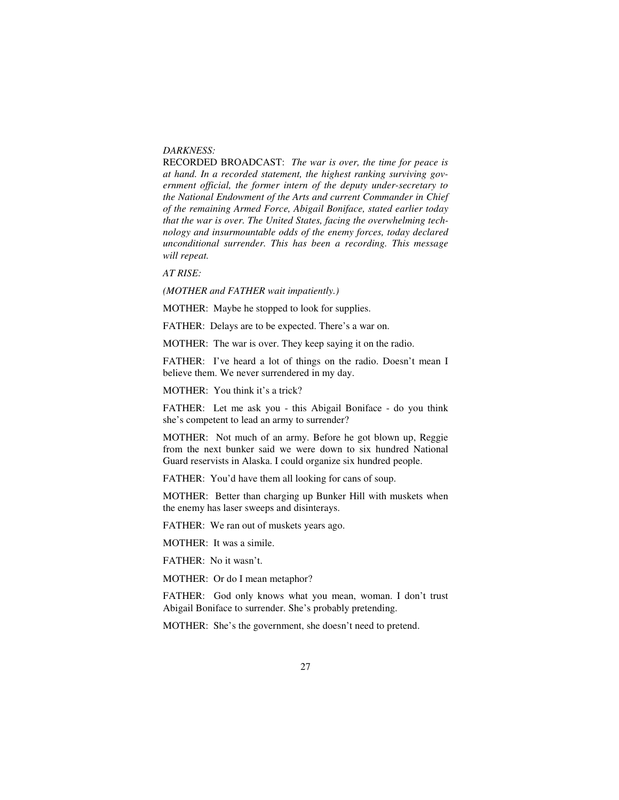#### *DARKNESS:*

RECORDED BROADCAST: *The war is over, the time for peace is at hand. In a recorded statement, the highest ranking surviving government official, the former intern of the deputy under-secretary to the National Endowment of the Arts and current Commander in Chief of the remaining Armed Force, Abigail Boniface, stated earlier today that the war is over. The United States, facing the overwhelming technology and insurmountable odds of the enemy forces, today declared unconditional surrender. This has been a recording. This message will repeat.* 

*AT RISE:* 

*(MOTHER and FATHER wait impatiently.)* 

MOTHER: Maybe he stopped to look for supplies.

FATHER: Delays are to be expected. There's a war on.

MOTHER: The war is over. They keep saying it on the radio.

FATHER: I've heard a lot of things on the radio. Doesn't mean I believe them. We never surrendered in my day.

MOTHER: You think it's a trick?

FATHER: Let me ask you - this Abigail Boniface - do you think she's competent to lead an army to surrender?

MOTHER: Not much of an army. Before he got blown up, Reggie from the next bunker said we were down to six hundred National Guard reservists in Alaska. I could organize six hundred people.

FATHER: You'd have them all looking for cans of soup.

MOTHER: Better than charging up Bunker Hill with muskets when the enemy has laser sweeps and disinterays.

FATHER: We ran out of muskets years ago.

MOTHER: It was a simile.

FATHER: No it wasn't.

MOTHER: Or do I mean metaphor?

FATHER: God only knows what you mean, woman. I don't trust Abigail Boniface to surrender. She's probably pretending.

MOTHER: She's the government, she doesn't need to pretend.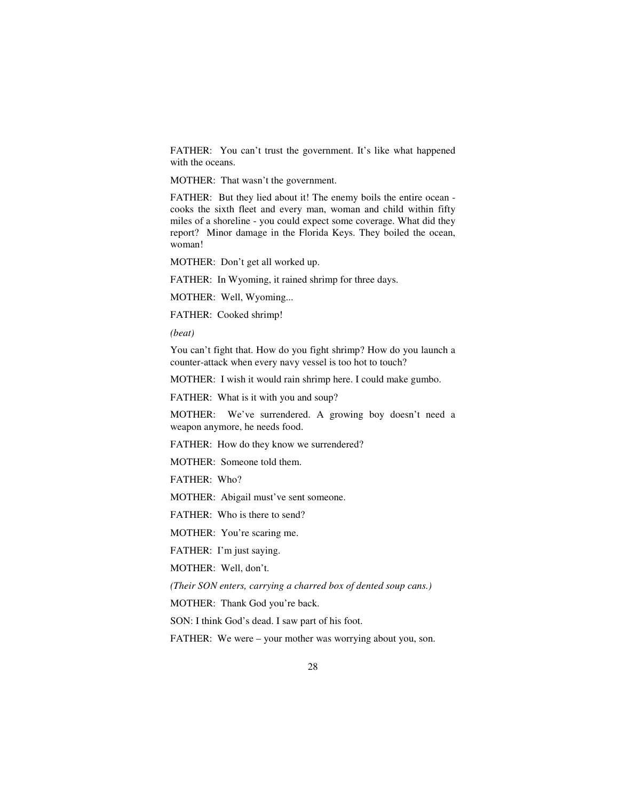FATHER: You can't trust the government. It's like what happened with the oceans.

MOTHER: That wasn't the government.

FATHER: But they lied about it! The enemy boils the entire ocean cooks the sixth fleet and every man, woman and child within fifty miles of a shoreline - you could expect some coverage. What did they report? Minor damage in the Florida Keys. They boiled the ocean, woman!

MOTHER: Don't get all worked up.

FATHER: In Wyoming, it rained shrimp for three days.

MOTHER: Well, Wyoming...

FATHER: Cooked shrimp!

*(beat)* 

You can't fight that. How do you fight shrimp? How do you launch a counter-attack when every navy vessel is too hot to touch?

MOTHER: I wish it would rain shrimp here. I could make gumbo.

FATHER: What is it with you and soup?

MOTHER: We've surrendered. A growing boy doesn't need a weapon anymore, he needs food.

FATHER: How do they know we surrendered?

MOTHER: Someone told them.

FATHER: Who?

MOTHER: Abigail must've sent someone.

FATHER: Who is there to send?

MOTHER: You're scaring me.

FATHER: I'm just saying.

MOTHER: Well, don't.

*(Their SON enters, carrying a charred box of dented soup cans.)* 

MOTHER: Thank God you're back.

SON: I think God's dead. I saw part of his foot.

FATHER: We were – your mother was worrying about you, son.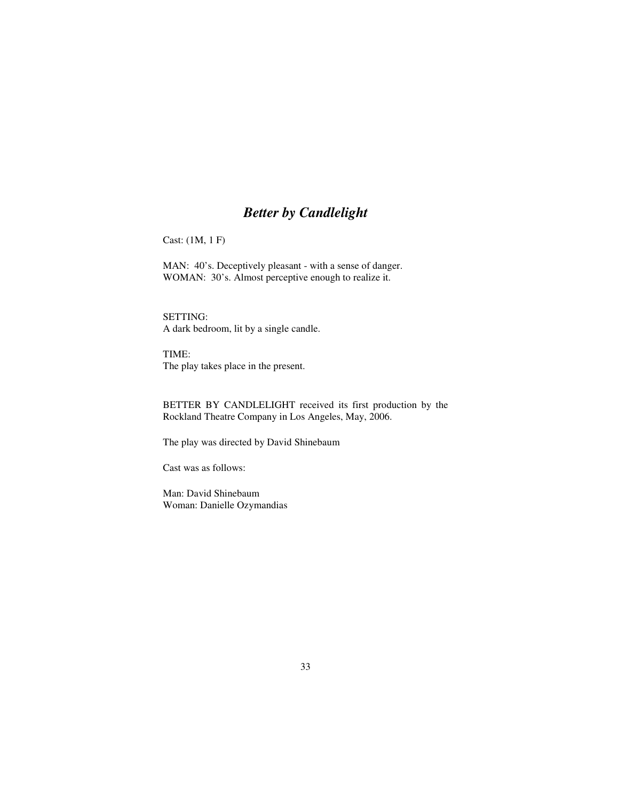# *Better by Candlelight*

Cast: (1M, 1 F)

MAN: 40's. Deceptively pleasant - with a sense of danger. WOMAN: 30's. Almost perceptive enough to realize it.

SETTING: A dark bedroom, lit by a single candle.

TIME: The play takes place in the present.

BETTER BY CANDLELIGHT received its first production by the Rockland Theatre Company in Los Angeles, May, 2006.

The play was directed by David Shinebaum

Cast was as follows:

Man: David Shinebaum Woman: Danielle Ozymandias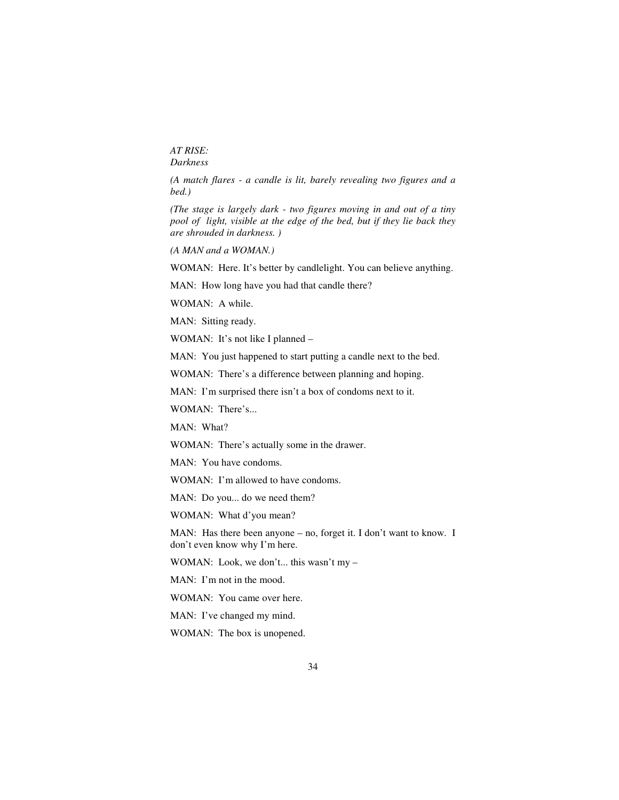*AT RISE: Darkness* 

*(A match flares - a candle is lit, barely revealing two figures and a bed.)* 

*(The stage is largely dark - two figures moving in and out of a tiny pool of light, visible at the edge of the bed, but if they lie back they are shrouded in darkness. )* 

*(A MAN and a WOMAN.)* 

WOMAN: Here. It's better by candlelight. You can believe anything.

MAN: How long have you had that candle there?

WOMAN: A while.

MAN: Sitting ready.

WOMAN: It's not like I planned –

MAN: You just happened to start putting a candle next to the bed.

WOMAN: There's a difference between planning and hoping.

MAN: I'm surprised there isn't a box of condoms next to it.

WOMAN: There's...

MAN: What?

WOMAN: There's actually some in the drawer.

MAN: You have condoms.

WOMAN: I'm allowed to have condoms.

MAN: Do you... do we need them?

WOMAN: What d'you mean?

MAN: Has there been anyone – no, forget it. I don't want to know. I don't even know why I'm here.

WOMAN: Look, we don't... this wasn't my –

MAN: I'm not in the mood.

WOMAN: You came over here.

MAN: I've changed my mind.

WOMAN: The box is unopened.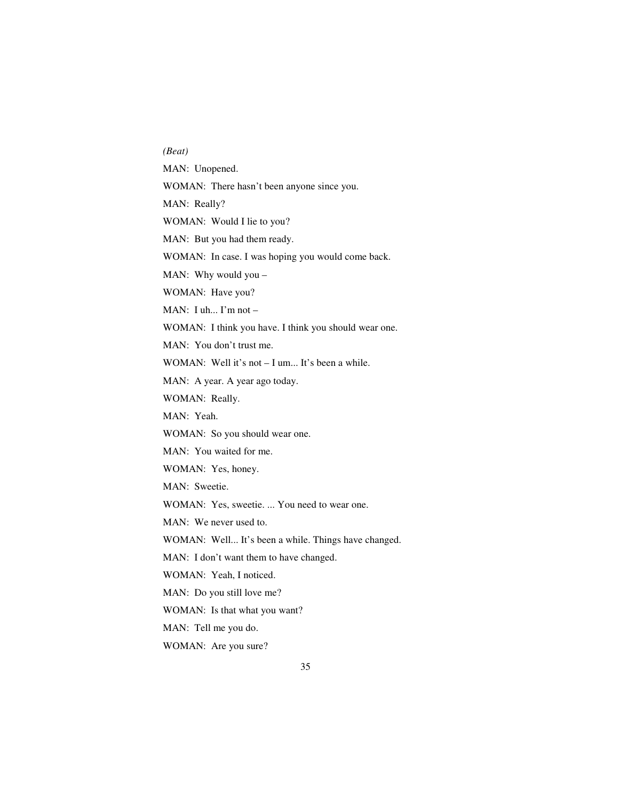*(Beat)*  MAN: Unopened. WOMAN: There hasn't been anyone since you. MAN: Really? WOMAN: Would I lie to you? MAN: But you had them ready. WOMAN: In case. I was hoping you would come back. MAN: Why would you – WOMAN: Have you? MAN: I uh... I'm not – WOMAN: I think you have. I think you should wear one. MAN: You don't trust me. WOMAN: Well it's not – I um... It's been a while. MAN: A year. A year ago today. WOMAN: Really. MAN: Yeah. WOMAN: So you should wear one. MAN: You waited for me. WOMAN: Yes, honey. MAN: Sweetie. WOMAN: Yes, sweetie. ... You need to wear one. MAN: We never used to. WOMAN: Well... It's been a while. Things have changed. MAN: I don't want them to have changed. WOMAN: Yeah, I noticed. MAN: Do you still love me? WOMAN: Is that what you want? MAN: Tell me you do. WOMAN: Are you sure?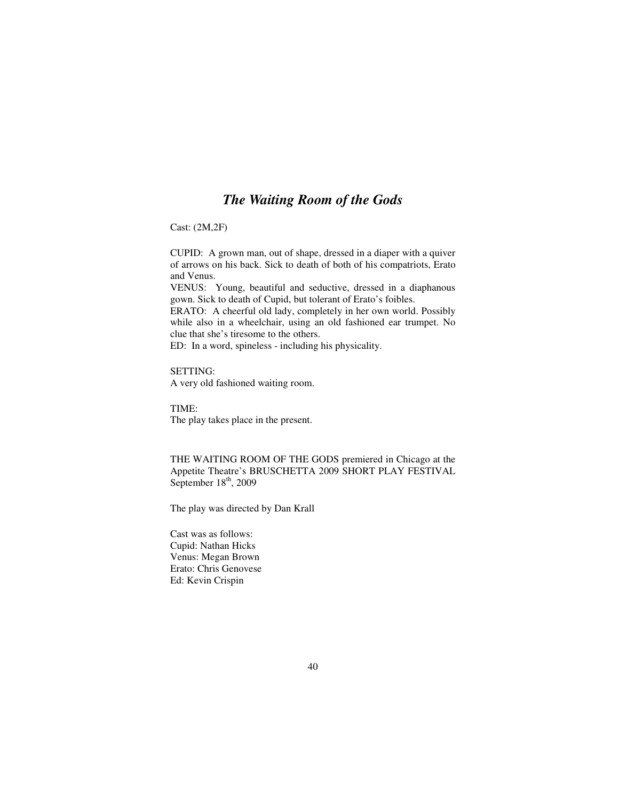## *The Waiting Room of the Gods*

Cast: (2M,2F)

CUPID: A grown man, out of shape, dressed in a diaper with a quiver of arrows on his back. Sick to death of both of his compatriots, Erato and Venus.

VENUS: Young, beautiful and seductive, dressed in a diaphanous gown. Sick to death of Cupid, but tolerant of Erato's foibles.

ERATO: A cheerful old lady, completely in her own world. Possibly while also in a wheelchair, using an old fashioned ear trumpet. No clue that she's tiresome to the others.

ED: In a word, spineless - including his physicality.

SETTING: A very old fashioned waiting room.

TIME: The play takes place in the present.

THE WAITING ROOM OF THE GODS premiered in Chicago at the Appetite Theatre's BRUSCHETTA 2009 SHORT PLAY FESTIVAL September 18<sup>th</sup>, 2009

The play was directed by Dan Krall

Cast was as follows: Cupid: Nathan Hicks Venus: Megan Brown Erato: Chris Genovese Ed: Kevin Crispin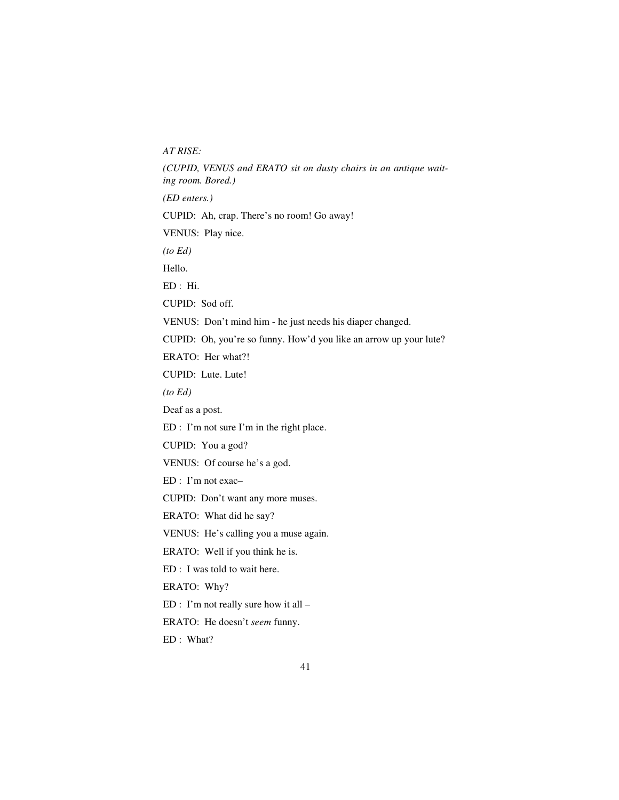*AT RISE:* 

*(CUPID, VENUS and ERATO sit on dusty chairs in an antique waiting room. Bored.)* 

*(ED enters.)* 

CUPID: Ah, crap. There's no room! Go away!

VENUS: Play nice.

*(to Ed)* 

Hello.

ED : Hi.

CUPID: Sod off.

VENUS: Don't mind him - he just needs his diaper changed.

CUPID: Oh, you're so funny. How'd you like an arrow up your lute?

ERATO: Her what?!

CUPID: Lute. Lute!

*(to Ed)* 

Deaf as a post.

ED : I'm not sure I'm in the right place.

CUPID: You a god?

VENUS: Of course he's a god.

ED : I'm not exac–

CUPID: Don't want any more muses.

ERATO: What did he say?

VENUS: He's calling you a muse again.

ERATO: Well if you think he is.

ED : I was told to wait here.

ERATO: Why?

ED : I'm not really sure how it all –

ERATO: He doesn't *seem* funny.

ED : What?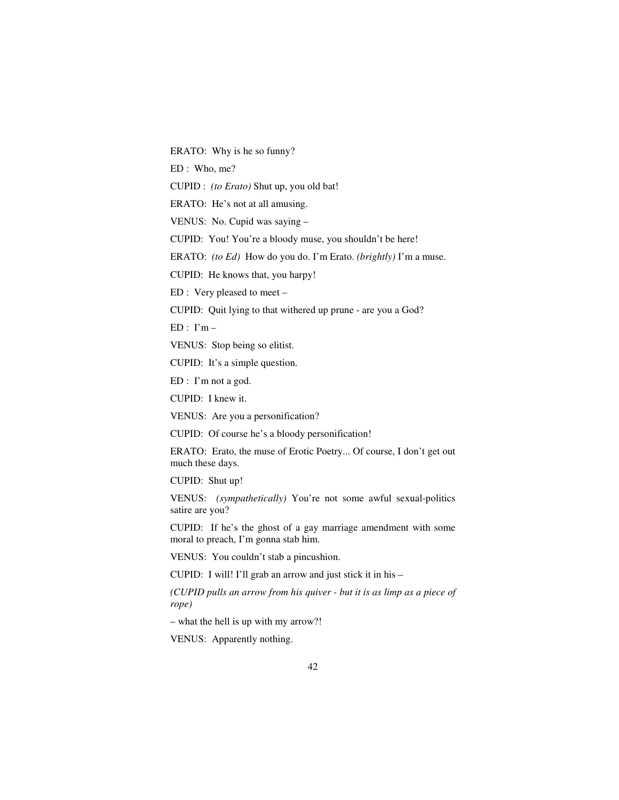ERATO: Why is he so funny?

ED : Who, me?

CUPID : *(to Erato)* Shut up, you old bat!

ERATO: He's not at all amusing.

VENUS: No. Cupid was saying –

CUPID: You! You're a bloody muse, you shouldn't be here!

ERATO: *(to Ed)* How do you do. I'm Erato. *(brightly)* I'm a muse.

CUPID: He knows that, you harpy!

ED : Very pleased to meet –

CUPID: Quit lying to that withered up prune - are you a God?

 $ED: I'm -$ 

VENUS: Stop being so elitist.

CUPID: It's a simple question.

ED : I'm not a god.

CUPID: I knew it.

VENUS: Are you a personification?

CUPID: Of course he's a bloody personification!

ERATO: Erato, the muse of Erotic Poetry... Of course, I don't get out much these days.

CUPID: Shut up!

VENUS: *(sympathetically)* You're not some awful sexual-politics satire are you?

CUPID: If he's the ghost of a gay marriage amendment with some moral to preach, I'm gonna stab him.

VENUS: You couldn't stab a pincushion.

CUPID: I will! I'll grab an arrow and just stick it in his –

*(CUPID pulls an arrow from his quiver - but it is as limp as a piece of rope)* 

– what the hell is up with my arrow?!

VENUS: Apparently nothing.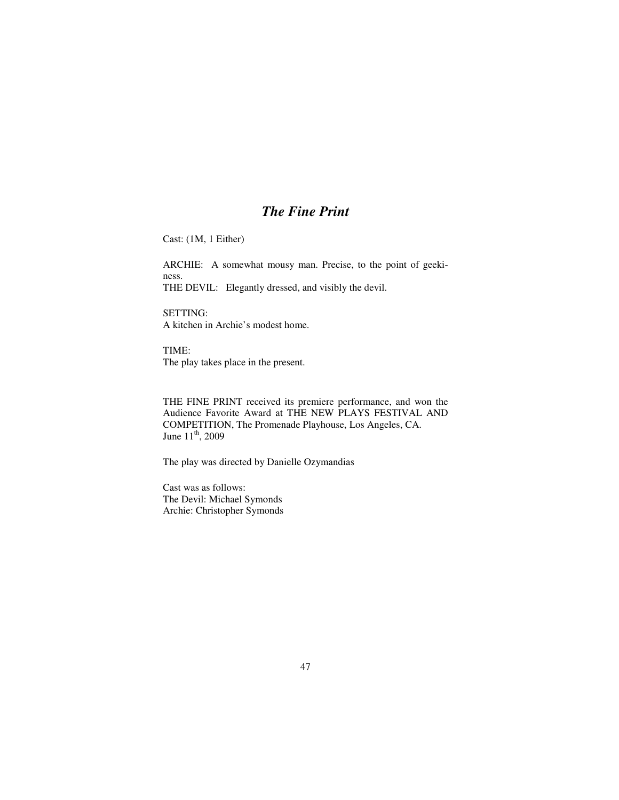## *The Fine Print*

Cast: (1M, 1 Either)

ARCHIE: A somewhat mousy man. Precise, to the point of geekiness. THE DEVIL: Elegantly dressed, and visibly the devil.

SETTING: A kitchen in Archie's modest home.

TIME: The play takes place in the present.

THE FINE PRINT received its premiere performance, and won the Audience Favorite Award at THE NEW PLAYS FESTIVAL AND COMPETITION, The Promenade Playhouse, Los Angeles, CA. June 11<sup>th</sup>, 2009

The play was directed by Danielle Ozymandias

Cast was as follows: The Devil: Michael Symonds Archie: Christopher Symonds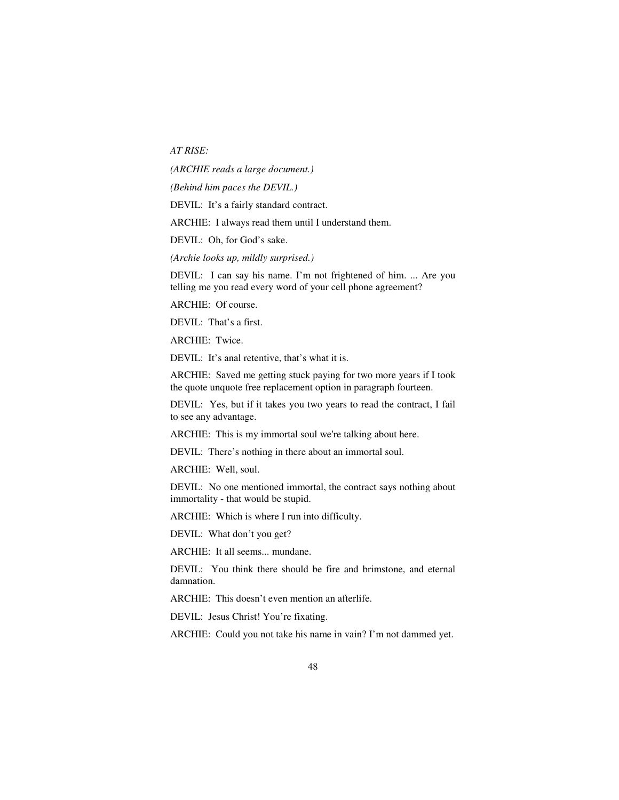*AT RISE:* 

*(ARCHIE reads a large document.)* 

*(Behind him paces the DEVIL.)* 

DEVIL: It's a fairly standard contract.

ARCHIE: I always read them until I understand them.

DEVIL: Oh, for God's sake.

*(Archie looks up, mildly surprised.)* 

DEVIL: I can say his name. I'm not frightened of him. ... Are you telling me you read every word of your cell phone agreement?

ARCHIE: Of course.

DEVIL: That's a first.

ARCHIE: Twice.

DEVIL: It's anal retentive, that's what it is.

ARCHIE: Saved me getting stuck paying for two more years if I took the quote unquote free replacement option in paragraph fourteen.

DEVIL: Yes, but if it takes you two years to read the contract, I fail to see any advantage.

ARCHIE: This is my immortal soul we're talking about here.

DEVIL: There's nothing in there about an immortal soul.

ARCHIE: Well, soul.

DEVIL: No one mentioned immortal, the contract says nothing about immortality - that would be stupid.

ARCHIE: Which is where I run into difficulty.

DEVIL: What don't you get?

ARCHIE: It all seems... mundane.

DEVIL: You think there should be fire and brimstone, and eternal damnation.

ARCHIE: This doesn't even mention an afterlife.

DEVIL: Jesus Christ! You're fixating.

ARCHIE: Could you not take his name in vain? I'm not dammed yet.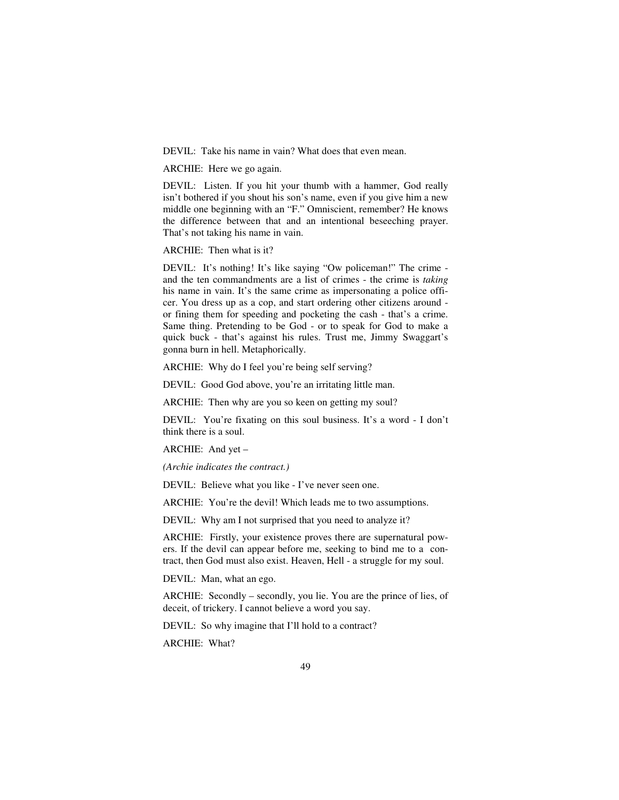DEVIL: Take his name in vain? What does that even mean.

ARCHIE: Here we go again.

DEVIL: Listen. If you hit your thumb with a hammer, God really isn't bothered if you shout his son's name, even if you give him a new middle one beginning with an "F." Omniscient, remember? He knows the difference between that and an intentional beseeching prayer. That's not taking his name in vain.

ARCHIE: Then what is it?

DEVIL: It's nothing! It's like saying "Ow policeman!" The crime and the ten commandments are a list of crimes - the crime is *taking* his name in vain. It's the same crime as impersonating a police officer. You dress up as a cop, and start ordering other citizens around or fining them for speeding and pocketing the cash - that's a crime. Same thing. Pretending to be God - or to speak for God to make a quick buck - that's against his rules. Trust me, Jimmy Swaggart's gonna burn in hell. Metaphorically.

ARCHIE: Why do I feel you're being self serving?

DEVIL: Good God above, you're an irritating little man.

ARCHIE: Then why are you so keen on getting my soul?

DEVIL: You're fixating on this soul business. It's a word - I don't think there is a soul.

ARCHIE: And yet –

*(Archie indicates the contract.)* 

DEVIL: Believe what you like - I've never seen one.

ARCHIE: You're the devil! Which leads me to two assumptions.

DEVIL: Why am I not surprised that you need to analyze it?

ARCHIE: Firstly, your existence proves there are supernatural powers. If the devil can appear before me, seeking to bind me to a contract, then God must also exist. Heaven, Hell - a struggle for my soul.

DEVIL: Man, what an ego.

ARCHIE: Secondly – secondly, you lie. You are the prince of lies, of deceit, of trickery. I cannot believe a word you say.

DEVIL: So why imagine that I'll hold to a contract?

ARCHIE: What?